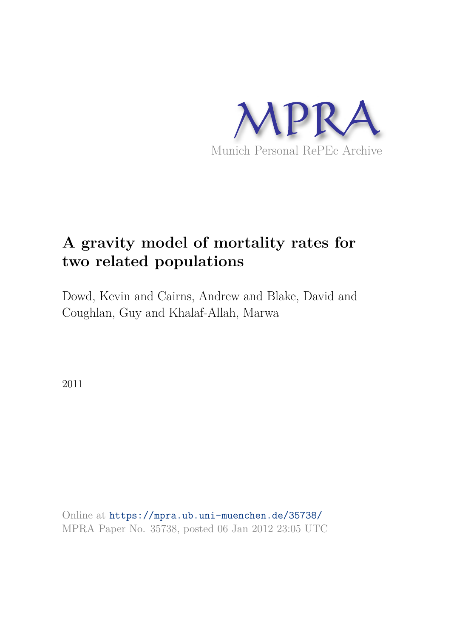

### **A gravity model of mortality rates for two related populations**

Dowd, Kevin and Cairns, Andrew and Blake, David and Coughlan, Guy and Khalaf-Allah, Marwa

2011

Online at https://mpra.ub.uni-muenchen.de/35738/ MPRA Paper No. 35738, posted 06 Jan 2012 23:05 UTC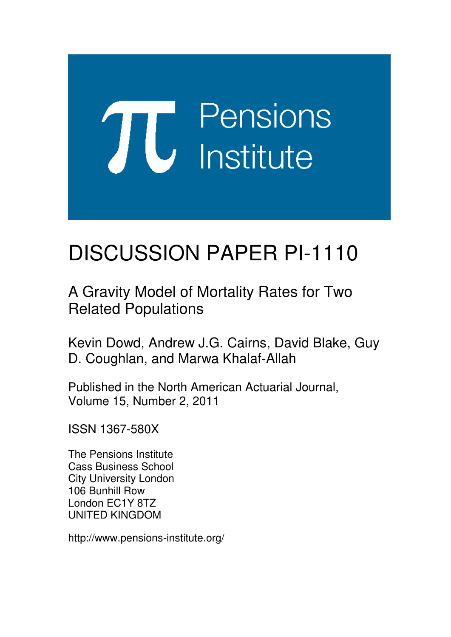# **TE** Pensions<br> **U** Institute

# DISCUSSION PAPER PI-1110

A Gravity Model of Mortality Rates for Two Related Populations

Kevin Dowd, Andrew J.G. Cairns, David Blake, Guy D. Coughlan, and Marwa Khalaf-Allah

Published in the North American Actuarial Journal, Volume 15, Number 2, 2011

ISSN 1367-580X

The Pensions Institute Cass Business School City University London 106 Bunhill Row London EC1Y 8TZ UNITED KINGDOM

http://www.pensions-institute.org/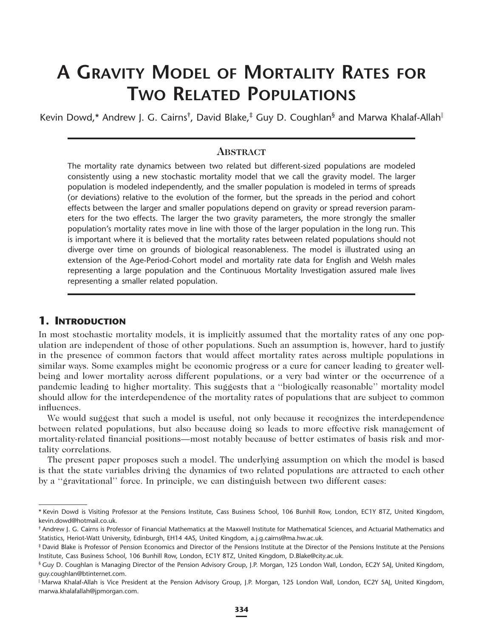## **A GRAVITY MODEL OF MORTALITY RATES FOR TWO RELATED POPULATIONS**

Kevin Dowd,\* Andrew J. G. Cairns<sup>†</sup>, David Blake,‡ Guy D. Coughlan<sup>§</sup> and Marwa Khalaf-Allah<sup>||</sup>

#### **ABSTRACT**

The mortality rate dynamics between two related but different-sized populations are modeled consistently using a new stochastic mortality model that we call the gravity model. The larger population is modeled independently, and the smaller population is modeled in terms of spreads (or deviations) relative to the evolution of the former, but the spreads in the period and cohort effects between the larger and smaller populations depend on gravity or spread reversion parameters for the two effects. The larger the two gravity parameters, the more strongly the smaller population's mortality rates move in line with those of the larger population in the long run. This is important where it is believed that the mortality rates between related populations should not diverge over time on grounds of biological reasonableness. The model is illustrated using an extension of the Age-Period-Cohort model and mortality rate data for English and Welsh males representing a large population and the Continuous Mortality Investigation assured male lives representing a smaller related population.

#### **1. INTRODUCTION**

In most stochastic mortality models, it is implicitly assumed that the mortality rates of any one population are independent of those of other populations. Such an assumption is, however, hard to justify in the presence of common factors that would affect mortality rates across multiple populations in similar ways. Some examples might be economic progress or a cure for cancer leading to greater wellbeing and lower mortality across different populations, or a very bad winter or the occurrence of a pandemic leading to higher mortality. This suggests that a ''biologically reasonable'' mortality model should allow for the interdependence of the mortality rates of populations that are subject to common influences.

We would suggest that such a model is useful, not only because it recognizes the interdependence between related populations, but also because doing so leads to more effective risk management of mortality-related financial positions—most notably because of better estimates of basis risk and mortality correlations.

The present paper proposes such a model. The underlying assumption on which the model is based is that the state variables driving the dynamics of two related populations are attracted to each other by a ''gravitational'' force. In principle, we can distinguish between two different cases:

<sup>\*</sup> Kevin Dowd is Visiting Professor at the Pensions Institute, Cass Business School, 106 Bunhill Row, London, EC1Y 8TZ, United Kingdom, kevin.dowd@hotmail.co.uk.

<sup>†</sup> Andrew J. G. Cairns is Professor of Financial Mathematics at the Maxwell Institute for Mathematical Sciences, and Actuarial Mathematics and Statistics, Heriot-Watt University, Edinburgh, EH14 4AS, United Kingdom, a.j.g.cairns@ma.hw.ac.uk.

<sup>‡</sup> David Blake is Professor of Pension Economics and Director of the Pensions Institute at the Director of the Pensions Institute at the Pensions Institute, Cass Business School, 106 Bunhill Row, London, EC1Y 8TZ, United Kingdom, D.Blake@city.ac.uk.

<sup>§</sup> Guy D. Coughlan is Managing Director of the Pension Advisory Group, J.P. Morgan, 125 London Wall, London, EC2Y 5AJ, United Kingdom, guy.coughlan@btinternet.com.

Warwa Khalaf-Allah is Vice President at the Pension Advisory Group, J.P. Morgan, 125 London Wall, London, EC2Y 5AJ, United Kingdom, marwa.khalafallah@jpmorgan.com.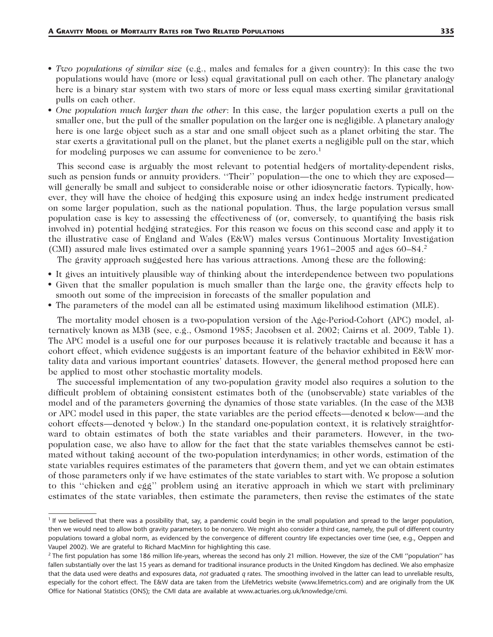- *Two populations of similar size* (e.g., males and females for a given country): In this case the two populations would have (more or less) equal gravitational pull on each other. The planetary analogy here is a binary star system with two stars of more or less equal mass exerting similar gravitational pulls on each other.
- *One population much larger than the other*: In this case, the larger population exerts a pull on the smaller one, but the pull of the smaller population on the larger one is negligible. A planetary analogy here is one large object such as a star and one small object such as a planet orbiting the star. The star exerts a gravitational pull on the planet, but the planet exerts a negligible pull on the star, which for modeling purposes we can assume for convenience to be zero.<sup>1</sup>

This second case is arguably the most relevant to potential hedgers of mortality-dependent risks, such as pension funds or annuity providers. "Their" population—the one to which they are exposed will generally be small and subject to considerable noise or other idiosyncratic factors. Typically, however, they will have the choice of hedging this exposure using an index hedge instrument predicated on some larger population, such as the national population. Thus, the large population versus small population case is key to assessing the effectiveness of (or, conversely, to quantifying the basis risk involved in) potential hedging strategies. For this reason we focus on this second case and apply it to the illustrative case of England and Wales (E&W) males versus Continuous Mortality Investigation (CMI) assured male lives estimated over a sample spanning years  $1961-2005$  and ages 60–84.<sup>2</sup>

The gravity approach suggested here has various attractions. Among these are the following:

- It gives an intuitively plausible way of thinking about the interdependence between two populations
- Given that the smaller population is much smaller than the large one, the gravity effects help to smooth out some of the imprecision in forecasts of the smaller population and
- The parameters of the model can all be estimated using maximum likelihood estimation (MLE).

The mortality model chosen is a two-population version of the Age-Period-Cohort (APC) model, alternatively known as M3B (see, e.g., Osmond 1985; Jacobsen et al. 2002; Cairns et al. 2009, Table 1). The APC model is a useful one for our purposes because it is relatively tractable and because it has a cohort effect, which evidence suggests is an important feature of the behavior exhibited in E&W mortality data and various important countries' datasets. However, the general method proposed here can be applied to most other stochastic mortality models.

The successful implementation of any two-population gravity model also requires a solution to the difficult problem of obtaining consistent estimates both of the (unobservable) state variables of the model and of the parameters governing the dynamics of those state variables. (In the case of the M3B or APC model used in this paper, the state variables are the period effects—denoted  $\kappa$  below—and the cohort effects—denoted  $\gamma$  below.) In the standard one-population context, it is relatively straightforward to obtain estimates of both the state variables and their parameters. However, in the twopopulation case, we also have to allow for the fact that the state variables themselves cannot be estimated without taking account of the two-population interdynamics; in other words, estimation of the state variables requires estimates of the parameters that govern them, and yet we can obtain estimates of those parameters only if we have estimates of the state variables to start with. We propose a solution to this ''chicken and egg'' problem using an iterative approach in which we start with preliminary estimates of the state variables, then estimate the parameters, then revise the estimates of the state

<sup>&</sup>lt;sup>1</sup> If we believed that there was a possibility that, say, a pandemic could begin in the small population and spread to the larger population, then we would need to allow both gravity parameters to be nonzero. We might also consider a third case, namely, the pull of different country populations toward a global norm, as evidenced by the convergence of different country life expectancies over time (see, e.g., Oeppen and Vaupel 2002). We are grateful to Richard MacMinn for highlighting this case.

<sup>&</sup>lt;sup>2</sup> The first population has some 186 million life-years, whereas the second has only 21 million. However, the size of the CMI "population" has fallen substantially over the last 15 years as demand for traditional insurance products in the United Kingdom has declined. We also emphasize that the data used were deaths and exposures data, *not* graduated *q* rates. The smoothing involved in the latter can lead to unreliable results, especially for the cohort effect. The E&W data are taken from the LifeMetrics website (www.lifemetrics.com) and are originally from the UK Office for National Statistics (ONS); the CMI data are available at www.actuaries.org.uk/knowledge/cmi.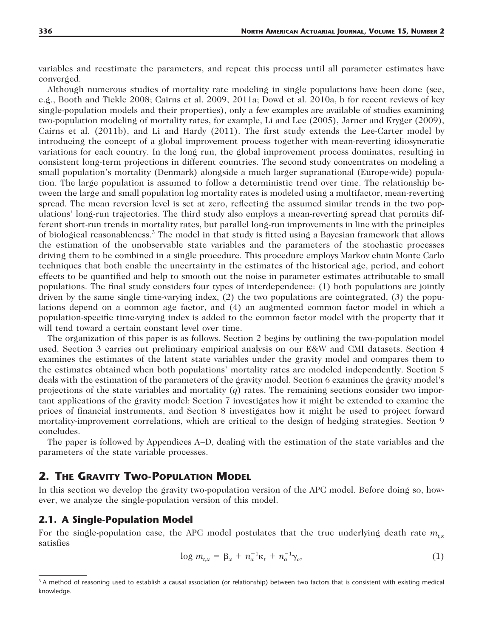variables and reestimate the parameters, and repeat this process until all parameter estimates have converged.

Although numerous studies of mortality rate modeling in single populations have been done (see, e.g., Booth and Tickle 2008; Cairns et al. 2009, 2011a; Dowd et al. 2010a, b for recent reviews of key single-population models and their properties), only a few examples are available of studies examining two-population modeling of mortality rates, for example, Li and Lee (2005), Jarner and Kryger (2009), Cairns et al. (2011b), and Li and Hardy (2011). The first study extends the Lee-Carter model by introducing the concept of a global improvement process together with mean-reverting idiosyncratic variations for each country. In the long run, the global improvement process dominates, resulting in consistent long-term projections in different countries. The second study concentrates on modeling a small population's mortality (Denmark) alongside a much larger supranational (Europe-wide) population. The large population is assumed to follow a deterministic trend over time. The relationship between the large and small population log mortality rates is modeled using a multifactor, mean-reverting spread. The mean reversion level is set at zero, reflecting the assumed similar trends in the two populations' long-run trajectories. The third study also employs a mean-reverting spread that permits different short-run trends in mortality rates, but parallel long-run improvements in line with the principles of biological reasonableness.<sup>3</sup> The model in that study is fitted using a Bayesian framework that allows the estimation of the unobservable state variables and the parameters of the stochastic processes driving them to be combined in a single procedure. This procedure employs Markov chain Monte Carlo techniques that both enable the uncertainty in the estimates of the historical age, period, and cohort effects to be quantified and help to smooth out the noise in parameter estimates attributable to small populations. The final study considers four types of interdependence: (1) both populations are jointly driven by the same single time-varying index, (2) the two populations are cointegrated, (3) the populations depend on a common age factor, and (4) an augmented common factor model in which a population-specific time-varying index is added to the common factor model with the property that it will tend toward a certain constant level over time.

The organization of this paper is as follows. Section 2 begins by outlining the two-population model used. Section 3 carries out preliminary empirical analysis on our E&W and CMI datasets. Section 4 examines the estimates of the latent state variables under the gravity model and compares them to the estimates obtained when both populations' mortality rates are modeled independently. Section 5 deals with the estimation of the parameters of the gravity model. Section 6 examines the gravity model's projections of the state variables and mortality  $(q)$  rates. The remaining sections consider two important applications of the gravity model: Section 7 investigates how it might be extended to examine the prices of financial instruments, and Section 8 investigates how it might be used to project forward mortality-improvement correlations, which are critical to the design of hedging strategies. Section 9 concludes.

The paper is followed by Appendices A–D, dealing with the estimation of the state variables and the parameters of the state variable processes.

#### **2. THE GRAVITY TWO-POPULATION MODEL**

In this section we develop the gravity two-population version of the APC model. Before doing so, however, we analyze the single-population version of this model.

#### **2.1. A Single-Population Model**

For the single-population case, the APC model postulates that the true underlying death rate  $m_{tx}$ satisfies

$$
\log m_{t,x} = \beta_x + n_a^{-1} \kappa_t + n_a^{-1} \gamma_c, \qquad (1)
$$

<sup>&</sup>lt;sup>3</sup> A method of reasoning used to establish a causal association (or relationship) between two factors that is consistent with existing medical knowledge.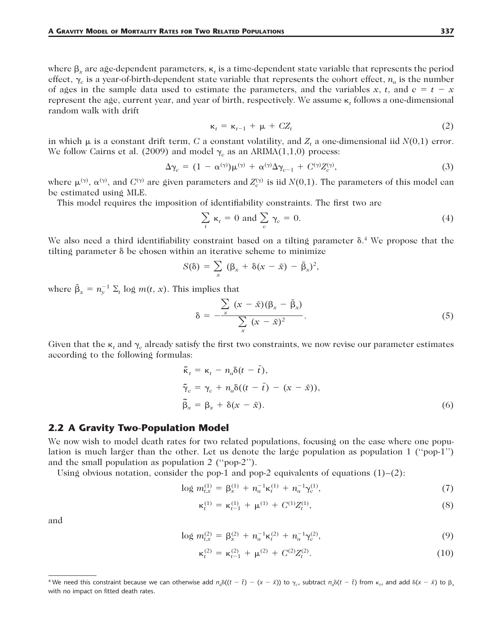where  $\beta_x$  are age-dependent parameters,  $\kappa_t$  is a time-dependent state variable that represents the period effect,  $\gamma_c$  is a year-of-birth-dependent state variable that represents the cohort effect,  $n_a$  is the number of ages in the sample data used to estimate the parameters, and the variables  $x$ ,  $t$ , and  $c = t - x$ represent the age, current year, and year of birth, respectively. We assume  $\kappa_t$  follows a one-dimensional random walk with drift

$$
\kappa_t = \kappa_{t-1} + \mu + CZ_t \tag{2}
$$

in which  $\mu$  is a constant drift term, *C* a constant volatility, and  $Z_t$  a one-dimensional iid  $N(0,1)$  error. We follow Cairns et al. (2009) and model  $\gamma_c$  as an ARIMA(1,1,0) process:

$$
\Delta \gamma_c = (1 - \alpha^{(\gamma)}) \mu^{(\gamma)} + \alpha^{(\gamma)} \Delta \gamma_{c-1} + C^{(\gamma)} Z_c^{(\gamma)}, \tag{3}
$$

where  $\mu^{(\gamma)}$ ,  $\alpha^{(\gamma)}$ , and  $C^{(\gamma)}$  are given parameters and  $Z_c^{(\gamma)}$  is iid  $N(0,1)$ . The parameters of this model can be estimated using MLE.

This model requires the imposition of identifiability constraints. The first two are

$$
\sum_{t} \kappa_t = 0 \text{ and } \sum_{c} \gamma_c = 0. \tag{4}
$$

We also need a third identifiability constraint based on a tilting parameter  $\delta$ .<sup>4</sup> We propose that the tilting parameter  $\delta$  be chosen within an iterative scheme to minimize

$$
S(\delta) = \sum_{x} (\beta_x + \delta(x - \bar{x}) - \bar{\beta}_x)^2,
$$

where  $\bar{\beta}_x = n_v^{-1} \sum_t \log m(t, x)$ . This implies that

$$
\delta = -\frac{\sum_{x} (x - \bar{x})(\beta_x - \bar{\beta}_x)}{\sum_{x} (x - \bar{x})^2}.
$$
\n(5)

Given that the  $\kappa_t$  and  $\gamma_c$  already satisfy the first two constraints, we now revise our parameter estimates according to the following formulas:

$$
\tilde{\kappa}_t = \kappa_t - n_a \delta(t - \bar{t}),
$$
  
\n
$$
\tilde{\gamma}_c = \gamma_c + n_a \delta((t - \bar{t}) - (\alpha - \bar{x})),
$$
  
\n
$$
\tilde{\beta}_x = \beta_x + \delta(\alpha - \bar{x}).
$$
\n(6)

#### **2.2 A Gravity Two-Population Model**

We now wish to model death rates for two related populations, focusing on the case where one population is much larger than the other. Let us denote the large population as population 1 (''pop-1'') and the small population as population 2 (''pop-2'').

Using obvious notation, consider the pop-1 and pop-2 equivalents of equations  $(1)-(2)$ :

$$
\log m_{t,x}^{(1)} = \beta_x^{(1)} + n_a^{-1} \kappa_t^{(1)} + n_a^{-1} \gamma_c^{(1)}, \tag{7}
$$

$$
\kappa_t^{(1)} = \kappa_{t-1}^{(1)} + \mu^{(1)} + C^{(1)}Z_t^{(1)},\tag{8}
$$

and

$$
\log m_{t,x}^{(2)} = \beta_x^{(2)} + n_a^{-1} \kappa_t^{(2)} + n_a^{-1} \gamma_c^{(2)}, \tag{9}
$$

$$
\kappa_t^{(2)} = \kappa_{t-1}^{(2)} + \mu^{(2)} + C^{(2)}Z_t^{(2)}.
$$
\n(10)

<sup>&</sup>lt;sup>4</sup> We need this constraint because we can otherwise add  $n_a\delta((t-\bar t)-(x-\bar x))$  to  $\gamma_c$ , subtract  $n_a\delta(t-\bar t)$  from  $\kappa_t$ , and add  $\delta(x-\bar x)$  to  $\beta_x$ with no impact on fitted death rates.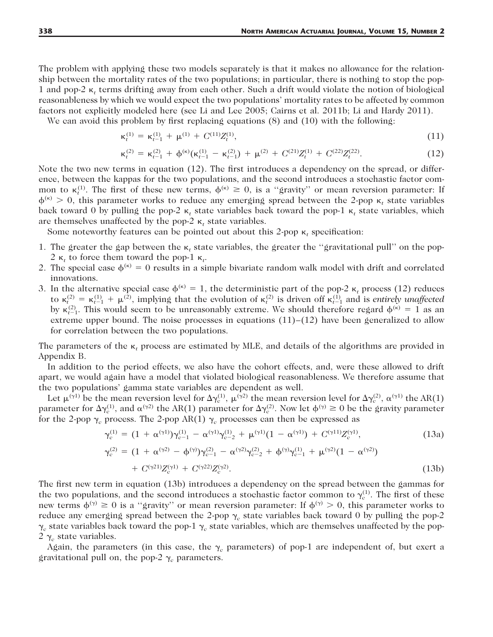The problem with applying these two models separately is that it makes no allowance for the relationship between the mortality rates of the two populations; in particular, there is nothing to stop the pop-1 and pop-2 k*<sup>t</sup>* terms drifting away from each other. Such a drift would violate the notion of biological reasonableness by which we would expect the two populations' mortality rates to be affected by common factors not explicitly modeled here (see Li and Lee 2005; Cairns et al. 2011b; Li and Hardy 2011).

We can avoid this problem by first replacing equations  $(8)$  and  $(10)$  with the following:

$$
\kappa_t^{(1)} = \kappa_{t-1}^{(1)} + \mu^{(1)} + C^{(11)}Z_t^{(1)},\tag{11}
$$

$$
\kappa_t^{(2)} = \kappa_{t-1}^{(2)} + \phi^{(\kappa)}(\kappa_{t-1}^{(1)} - \kappa_{t-1}^{(2)}) + \mu^{(2)} + C^{(21)}Z_t^{(1)} + C^{(22)}Z_t^{(22)}.
$$
 (12)

Note the two new terms in equation (12). The first introduces a dependency on the spread, or difference, between the kappas for the two populations, and the second introduces a stochastic factor common to  $\kappa_t^{(1)}$ . The first of these new terms,  $\phi^{(\kappa)} \geq 0$ , is a "gravity" or mean reversion parameter: If  $\phi^{(\kappa)} > 0$ , this parameter works to reduce any emerging spread between the 2-pop  $\kappa_t$  state variables back toward 0 by pulling the pop-2  $\kappa_t$  state variables back toward the pop-1  $\kappa_t$  state variables, which are themselves unaffected by the pop-2  $\kappa_t$  state variables.

Some noteworthy features can be pointed out about this  $2$ -pop  $\kappa_t$  specification:

- 1. The greater the gap between the  $\kappa_t$  state variables, the greater the "gravitational pull" on the pop-2  $\kappa_t$  to force them toward the pop-1  $\kappa_t$ .
- 2. The special case  $\phi^{(\kappa)} = 0$  results in a simple bivariate random walk model with drift and correlated innovations.
- 3. In the alternative special case  $\phi^{(\kappa)} = 1$ , the deterministic part of the pop-2  $\kappa_t$  process (12) reduces to  $\kappa_t^{(2)} = \kappa_{t-1}^{(1)} + \mu^{(2)}$ , implying that the evolution of  $\kappa_t^{(2)}$  is driven off  $\kappa_{t-1}^{(1)}$  and is *entirely unaffected* by  $\kappa_{t-1}^{(2)}$ . This would seem to be unreasonably extreme. We should therefore regard  $\phi^{(\kappa)} = 1$  as an extreme upper bound. The noise processes in equations  $(11)-(12)$  have been generalized to allow for correlation between the two populations.

The parameters of the  $\kappa$ , process are estimated by MLE, and details of the algorithms are provided in Appendix B.

In addition to the period effects, we also have the cohort effects, and, were these allowed to drift apart, we would again have a model that violated biological reasonableness. We therefore assume that the two populations' gamma state variables are dependent as well.

Let  $\mu^{(\gamma 1)}$  be the mean reversion level for  $\Delta \gamma_c^{(1)}$ ,  $\mu^{(\gamma 2)}$  the mean reversion level for  $\Delta \gamma_c^{(2)}$ ,  $\alpha^{(\gamma 1)}$  the AR(1) parameter for  $\Delta\gamma_c^{(1)}$ , and  $\alpha^{(\gamma^2)}$  the AR(1) parameter for  $\Delta\gamma_c^{(2)}$ . Now let  $\phi^{(\gamma)} \ge 0$  be the gravity parameter for the 2-pop  $\gamma_c$  process. The 2-pop AR(1)  $\gamma_c$  processes can then be expressed as

$$
\gamma_c^{(1)} = (1 + \alpha^{(\gamma 1)}) \gamma_{c-1}^{(1)} - \alpha^{(\gamma 1)} \gamma_{c-2}^{(1)} + \mu^{(\gamma 1)} (1 - \alpha^{(\gamma 1)}) + C^{(\gamma 1 1)} Z_c^{(\gamma 1)},
$$
\n
$$
\gamma_c^{(2)} = (1 + \alpha^{(\gamma 2)} - \phi^{(\gamma)}) \gamma_{c-1}^{(2)} - \alpha^{(\gamma 2)} \gamma_{c-2}^{(2)} + \phi^{(\gamma)} \gamma_{c-1}^{(1)} + \mu^{(\gamma 2)} (1 - \alpha^{(\gamma 2)})
$$
\n
$$
+ C^{(\gamma 2 1)} Z_c^{(\gamma 1)} + C^{(\gamma 2 2)} Z_c^{(\gamma 2)}.
$$
\n(13b)

The first new term in equation (13b) introduces a dependency on the spread between the gammas for the two populations, and the second introduces a stochastic factor common to  $\gamma_c^{(1)}$ . The first of these new terms  $\phi^{(\gamma)} \ge 0$  is a "gravity" or mean reversion parameter: If  $\phi^{(\gamma)} > 0$ , this parameter works to reduce any emerging spread between the 2-pop  $\gamma_c$  state variables back toward 0 by pulling the pop-2  $\gamma_c$  state variables back toward the pop-1  $\gamma_c$  state variables, which are themselves unaffected by the pop-2  $\gamma_c$  state variables.

Again, the parameters (in this case, the  $\gamma_c$  parameters) of pop-1 are independent of, but exert a gravitational pull on, the pop-2  $\gamma_c$  parameters.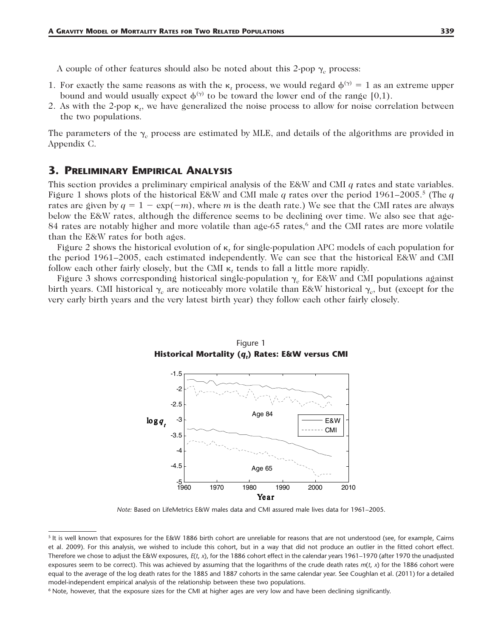A couple of other features should also be noted about this 2-pop  $\gamma_c$  process:

- 1. For exactly the same reasons as with the  $\kappa_t$  process, we would regard  $\phi^{(\gamma)} = 1$  as an extreme upper bound and would usually expect  $\phi^{(\gamma)}$  to be toward the lower end of the range [0,1).
- 2. As with the 2-pop  $\kappa_t$ , we have generalized the noise process to allow for noise correlation between the two populations.

The parameters of the  $\gamma_c$  process are estimated by MLE, and details of the algorithms are provided in Appendix C.

#### **3. PRELIMINARY EMPIRICAL ANALYSIS**

This section provides a preliminary empirical analysis of the E&W and CMI *q* rates and state variables. Figure 1 shows plots of the historical E&W and CMI male  $q$  rates over the period 1961–2005.<sup>5</sup> (The  $q$ rates are given by  $q = 1 - \exp(-m)$ , where *m* is the death rate.) We see that the CMI rates are always below the E&W rates, although the difference seems to be declining over time. We also see that age-84 rates are notably higher and more volatile than age-65 rates,<sup>6</sup> and the CMI rates are more volatile than the E&W rates for both ages.

Figure 2 shows the historical evolution of  $\kappa_t$  for single-population APC models of each population for the period 1961–2005, each estimated independently. We can see that the historical E&W and CMI follow each other fairly closely, but the CMI  $\kappa_t$  tends to fall a little more rapidly.

Figure 3 shows corresponding historical single-population  $\gamma_c$  for E&W and CMI populations against birth years. CMI historical  $\gamma_c$  are noticeably more volatile than E&W historical  $\gamma_c$ , but (except for the very early birth years and the very latest birth year) they follow each other fairly closely.





*Note:* Based on LifeMetrics E&W males data and CMI assured male lives data for 1961–2005.

<sup>&</sup>lt;sup>5</sup> It is well known that exposures for the E&W 1886 birth cohort are unreliable for reasons that are not understood (see, for example, Cairns et al. 2009). For this analysis, we wished to include this cohort, but in a way that did not produce an outlier in the fitted cohort effect. Therefore we chose to adjust the E&W exposures, *E*(*t*, *x*), for the 1886 cohort effect in the calendar years 1961–1970 (after 1970 the unadjusted exposures seem to be correct). This was achieved by assuming that the logarithms of the crude death rates *m*(*t*, *x*) for the 1886 cohort were equal to the average of the log death rates for the 1885 and 1887 cohorts in the same calendar year. See Coughlan et al. (2011) for a detailed model-independent empirical analysis of the relationship between these two populations.

<sup>6</sup> Note, however, that the exposure sizes for the CMI at higher ages are very low and have been declining significantly.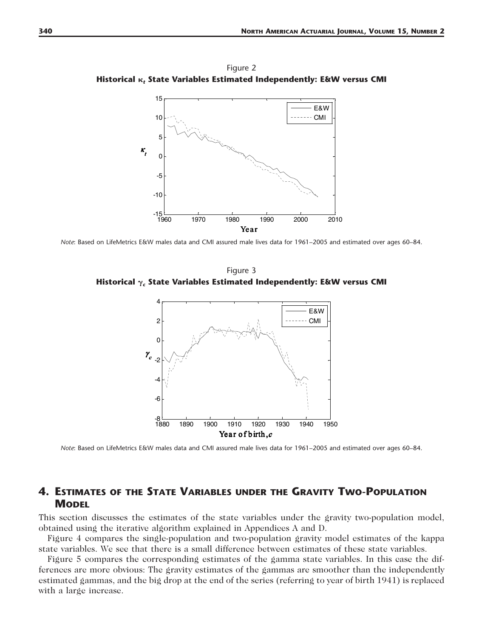Figure 2 **Historical** k*<sup>t</sup>* **State Variables Estimated Independently: E&W versus CMI**



*Note*: Based on LifeMetrics E&W males data and CMI assured male lives data for 1961–2005 and estimated over ages 60–84.

Figure 3 **Historical** g*<sup>c</sup>* **State Variables Estimated Independently: E&W versus CMI**



*Note*: Based on LifeMetrics E&W males data and CMI assured male lives data for 1961–2005 and estimated over ages 60–84.

#### **4. ESTIMATES OF THE STATE VARIABLES UNDER THE GRAVITY TWO-POPULATION MODEL**

This section discusses the estimates of the state variables under the gravity two-population model, obtained using the iterative algorithm explained in Appendices A and D.

Figure 4 compares the single-population and two-population gravity model estimates of the kappa state variables. We see that there is a small difference between estimates of these state variables.

Figure 5 compares the corresponding estimates of the gamma state variables. In this case the differences are more obvious: The gravity estimates of the gammas are smoother than the independently estimated gammas, and the big drop at the end of the series (referring to year of birth 1941) is replaced with a large increase.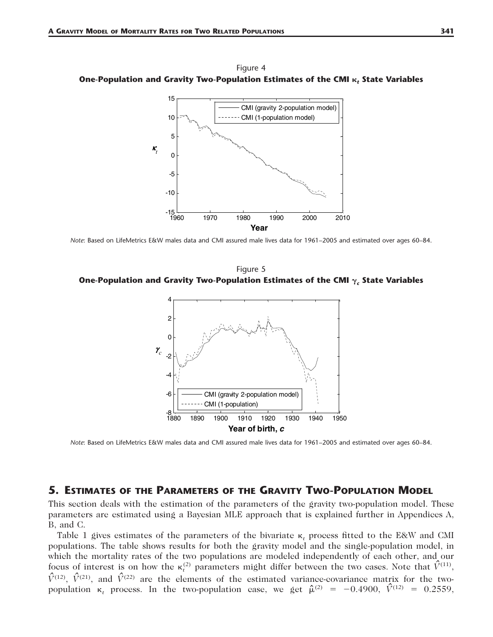

*Note*: Based on LifeMetrics E&W males data and CMI assured male lives data for 1961–2005 and estimated over ages 60–84.

Figure 5 **One-Population and Gravity Two-Population Estimates of the CMI**  $\gamma$ **, State Variables** 



*Note*: Based on LifeMetrics E&W males data and CMI assured male lives data for 1961–2005 and estimated over ages 60–84.

#### **5. ESTIMATES OF THE PARAMETERS OF THE GRAVITY TWO-POPULATION MODEL**

This section deals with the estimation of the parameters of the gravity two-population model. These parameters are estimated using a Bayesian MLE approach that is explained further in Appendices A, B, and C.

Table 1 gives estimates of the parameters of the bivariate  $\kappa$ , process fitted to the E&W and CMI populations. The table shows results for both the gravity model and the single-population model, in which the mortality rates of the two populations are modeled independently of each other, and our focus of interest is on how the  $\kappa_t^{(2)}$  parameters might differ between the two cases. Note that  $\hat{V}^{(11)}$ ,  $\hat{V}^{(12)}$ ,  $\hat{V}^{(21)}$ , and  $\hat{V}^{(22)}$  are the elements of the estimated variance-covariance matrix for the twopopulation  $\kappa$ , process. In the two-population case, we get  $\hat{\mu}^{(2)} = -0.4900$ ,  $\hat{V}^{(12)} = 0.2559$ ,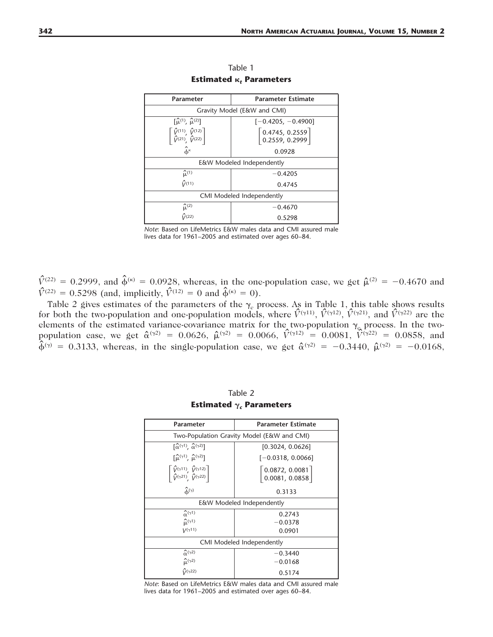| Parameter                                                                                                      | <b>Parameter Estimate</b>                                       |  |  |
|----------------------------------------------------------------------------------------------------------------|-----------------------------------------------------------------|--|--|
| Gravity Model (E&W and CMI)                                                                                    |                                                                 |  |  |
| $[\hat{\mu}^{(1)}, \hat{\mu}^{(2)}]$                                                                           | $[-0.4205, -0.4900]$                                            |  |  |
| $\left[\begin{array}{cc} \hat{V}^{(11)},& \hat{V}^{(12)}\\ \hat{V}^{(21)},& \hat{V}^{(22)} \end{array}\right]$ | $\begin{bmatrix} 0.4745, 0.2559 \ 0.2559, 0.2999 \end{bmatrix}$ |  |  |
| $\hat{\Phi}^{\kappa}$                                                                                          | 0.0928                                                          |  |  |
| E&W Modeled Independently                                                                                      |                                                                 |  |  |
| $\hat{\mu}^{(1)}$                                                                                              | $-0.4205$                                                       |  |  |
| $\hat{V}$ <sup>(11)</sup>                                                                                      | 0.4745                                                          |  |  |
| CMI Modeled Independently                                                                                      |                                                                 |  |  |
| $\hat{\mu}^{(2)}$                                                                                              | $-0.4670$                                                       |  |  |
| $\hat{V}^{(22)}$                                                                                               | 0.5298                                                          |  |  |

| Table 1 |                                 |
|---------|---------------------------------|
|         | Estimated $\kappa$ , Parameters |

*Note*: Based on LifeMetrics E&W males data and CMI assured male lives data for 1961–2005 and estimated over ages 60–84.

 $\hat{V}^{(22)} = 0.2999$ , and  $\hat{\phi}^{(\kappa)} = 0.0928$ , whereas, in the one-population case, we get  $\hat{\mu}^{(2)} = -0.4670$  and  $\hat{V}^{(22)} = 0.5298$  (and, implicitly,  $\hat{V}^{(12)} = 0$  and  $\hat{\phi}^{(\kappa)} = 0$ ).

Table 2 gives estimates of the parameters of the  $\gamma_c$  process. As in Table 1, this table shows results Frame 2 gives estimates of the parameters of the  $\gamma_c$  process. As in Table 1, this table shows results for both the two-population and one-population models, where  $\hat{V}^{(\gamma11)}$ ,  $\hat{V}^{(\gamma12)}$ ,  $\hat{V}^{(\gamma21)}$ , and  $\hat{V}^{$ elements of the estimated variance-covariance matrix for the two-population  $\gamma_{\alpha}$  process. In the two-population case, we get  $\hat{\alpha}^{(\gamma^2)} = 0.0626$ ,  $\hat{\mu}^{(\gamma^2)} = 0.0066$ ,  $\hat{V}^{(\gamma^{12})} = 0.0081$ ,  $\hat{V}^{(\gamma^{22})} = 0.085$  $\hat{\phi}^{(\gamma)} = 0.3133$ , whereas, in the single-population case, we get  $\hat{\alpha}^{(\gamma)} = -0.3440$ ,  $\hat{\mu}^{(\gamma)} = -0.0168$ ,

| Parameter                                                                                                                                | <b>Parameter Estimate</b>                                       |  |
|------------------------------------------------------------------------------------------------------------------------------------------|-----------------------------------------------------------------|--|
| Two-Population Gravity Model (E&W and CMI)                                                                                               |                                                                 |  |
| $\int \hat{\alpha}^{(\gamma)}$ , $\hat{\alpha}^{(\gamma)}$                                                                               | [0.3024, 0.0626]                                                |  |
| $\left[\hat{\mu}^{(\gamma)}\right], \hat{\mu}^{(\gamma2)}\right]$                                                                        | $[-0.0318, 0.0066]$                                             |  |
| $\left[\begin{array}{cc} \hat{V}^{(\gamma11)}, & \hat{V}^{(\gamma12)}\\ \hat{V}^{(\gamma21)}, & \hat{V}^{(\gamma22)} \end{array}\right]$ | $\begin{bmatrix} 0.0872, 0.0081 \ 0.0081, 0.0858 \end{bmatrix}$ |  |
| $\hat{\Phi}^{(\gamma)}$                                                                                                                  | 0.3133                                                          |  |
| E&W Modeled Independently                                                                                                                |                                                                 |  |
| $\hat{\alpha}(\gamma)$                                                                                                                   | 0.2743                                                          |  |
| $\hat{\mathbf{u}}^{(\gamma)}$                                                                                                            | $-0.0378$                                                       |  |
| $V(\gamma 11)$                                                                                                                           | 0.0901                                                          |  |
| CMI Modeled Independently                                                                                                                |                                                                 |  |
| $\hat{\alpha}(\gamma^2)$                                                                                                                 | $-0.3440$                                                       |  |
| $\hat{\mu}^{(\gamma 2)}$                                                                                                                 | $-0.0168$                                                       |  |
| $\hat{\mathcal{U}}(\gamma 22)$                                                                                                           | 0.5174                                                          |  |

Table 2 **Estimated** γ<sub>*c*</sub> Parameters</sub>

*Note*: Based on LifeMetrics E&W males data and CMI assured male lives data for 1961–2005 and estimated over ages 60–84.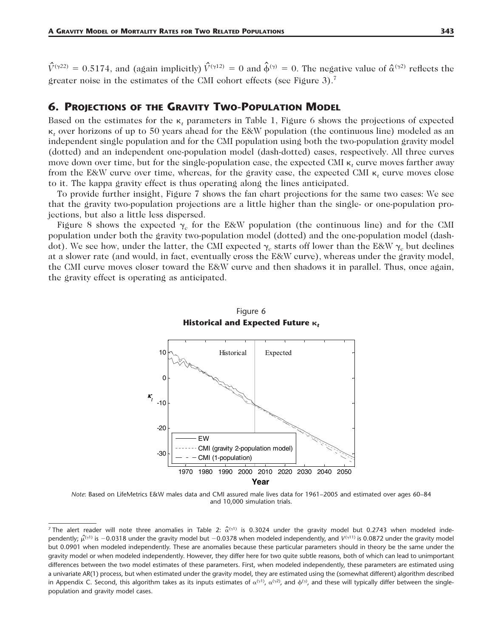$\hat{V}^{(\gamma^{2})} = 0.5174$ , and (again implicitly)  $\hat{V}^{(\gamma^{1})} = 0$  and  $\hat{\phi}^{(\gamma)} = 0$ . The negative value of  $\hat{\alpha}^{(\gamma^2)}$  reflects the greater noise in the estimates of the CMI cohort effects (see Figure 3).<sup>7</sup>

#### **6. PROJECTIONS OF THE GRAVITY TWO-POPULATION MODEL**

Based on the estimates for the k*<sup>t</sup>* parameters in Table 1, Figure 6 shows the projections of expected k*<sup>t</sup>* over horizons of up to 50 years ahead for the E&W population (the continuous line) modeled as an independent single population and for the CMI population using both the two-population gravity model (dotted) and an independent one-population model (dash-dotted) cases, respectively. All three curves move down over time, but for the single-population case, the expected CMI  $\kappa$ , curve moves farther away from the E&W curve over time, whereas, for the gravity case, the expected CMI  $\kappa$ , curve moves close to it. The kappa gravity effect is thus operating along the lines anticipated.

To provide further insight, Figure 7 shows the fan chart projections for the same two cases: We see that the gravity two-population projections are a little higher than the single- or one-population projections, but also a little less dispersed.

Figure 8 shows the expected  $\gamma_c$  for the E&W population (the continuous line) and for the CMI population under both the gravity two-population model (dotted) and the one-population model (dashdot). We see how, under the latter, the CMI expected  $\gamma_c$  starts off lower than the E&W  $\gamma_c$  but declines at a slower rate (and would, in fact, eventually cross the E&W curve), whereas under the gravity model, the CMI curve moves closer toward the E&W curve and then shadows it in parallel. Thus, once again, the gravity effect is operating as anticipated.





*Note*: Based on LifeMetrics E&W males data and CMI assured male lives data for 1961–2005 and estimated over ages 60–84 and 10,000 simulation trials.

<sup>&</sup>lt;sup>7</sup>The alert reader will note three anomalies in Table 2:  $\hat{\alpha}^{(\gamma)}$  is 0.3024 under the gravity model but 0.2743 when modeled independently;  $\hat{\mu}^{(\gamma1)}$  is  $-0.0318$  under the gravity model but  $-0.0378$  when modeled independently, and  $V^{(\gamma11)}$  is  $0.0872$  under the gravity model but 0.0901 when modeled independently. These are anomalies because these particular parameters should in theory be the same under the gravity model or when modeled independently. However, they differ here for two quite subtle reasons, both of which can lead to unimportant differences between the two model estimates of these parameters. First, when modeled independently, these parameters are estimated using a univariate AR(1) process, but when estimated under the gravity model, they are estimated using the (somewhat different) algorithm described in Appendix C. Second, this algorithm takes as its inputs estimates of  $\alpha^{(\gamma 1)}$ ,  $\alpha^{(\gamma 2)}$ , and t $^{(\gamma)}$ , and these will typically differ between the singlepopulation and gravity model cases.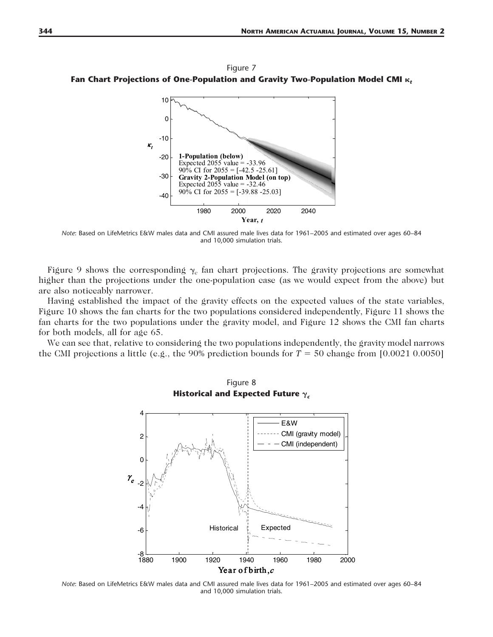Figure 7 **Fan Chart Projections of One-Population and Gravity Two-Population Model CMI** k*<sup>t</sup>*



*Note*: Based on LifeMetrics E&W males data and CMI assured male lives data for 1961–2005 and estimated over ages 60–84 and 10,000 simulation trials.

Figure 9 shows the corresponding  $\gamma_c$  fan chart projections. The gravity projections are somewhat higher than the projections under the one-population case (as we would expect from the above) but are also noticeably narrower.

Having established the impact of the gravity effects on the expected values of the state variables, Figure 10 shows the fan charts for the two populations considered independently, Figure 11 shows the fan charts for the two populations under the gravity model, and Figure 12 shows the CMI fan charts for both models, all for age 65.

We can see that, relative to considering the two populations independently, the gravity model narrows the CMI projections a little (e.g., the 90% prediction bounds for  $T = 50$  change from [0.0021 0.0050]



Figure 8 **Historical and Expected Future**  $\gamma_c$ 

*Note*: Based on LifeMetrics E&W males data and CMI assured male lives data for 1961–2005 and estimated over ages 60–84 and 10,000 simulation trials.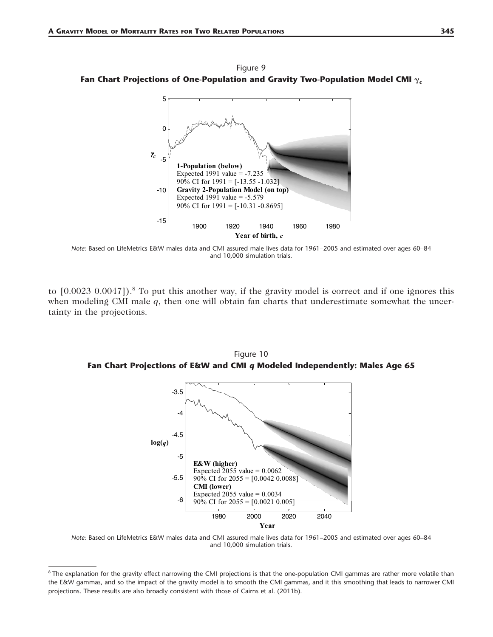

*Note*: Based on LifeMetrics E&W males data and CMI assured male lives data for 1961–2005 and estimated over ages 60–84 and 10,000 simulation trials.

to  $[0.0023 \ 0.0047]$ .<sup>8</sup> To put this another way, if the gravity model is correct and if one ignores this when modeling CMI male *q*, then one will obtain fan charts that underestimate somewhat the uncertainty in the projections.



Figure 10 **Fan Chart Projections of E&W and CMI** *q* **Modeled Independently: Males Age 65**

*Note*: Based on LifeMetrics E&W males data and CMI assured male lives data for 1961–2005 and estimated over ages 60–84 and 10,000 simulation trials.

<sup>&</sup>lt;sup>8</sup> The explanation for the gravity effect narrowing the CMI projections is that the one-population CMI gammas are rather more volatile than the E&W gammas, and so the impact of the gravity model is to smooth the CMI gammas, and it this smoothing that leads to narrower CMI projections. These results are also broadly consistent with those of Cairns et al. (2011b).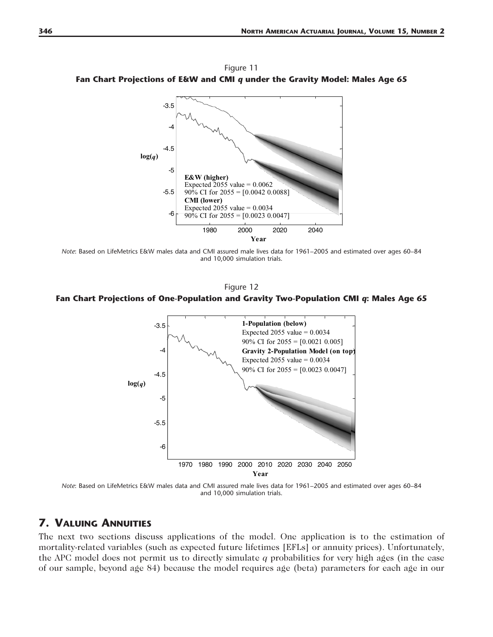



*Note*: Based on LifeMetrics E&W males data and CMI assured male lives data for 1961–2005 and estimated over ages 60–84 and 10,000 simulation trials.

Figure 12 **Fan Chart Projections of One-Population and Gravity Two-Population CMI** *q***: Males Age 65**



*Note*: Based on LifeMetrics E&W males data and CMI assured male lives data for 1961–2005 and estimated over ages 60–84 and 10,000 simulation trials.

#### **7. VALUING ANNUITIES**

The next two sections discuss applications of the model. One application is to the estimation of mortality-related variables (such as expected future lifetimes [EFLs] or annuity prices). Unfortunately, the APC model does not permit us to directly simulate *q* probabilities for very high ages (in the case of our sample, beyond age 84) because the model requires age (beta) parameters for each age in our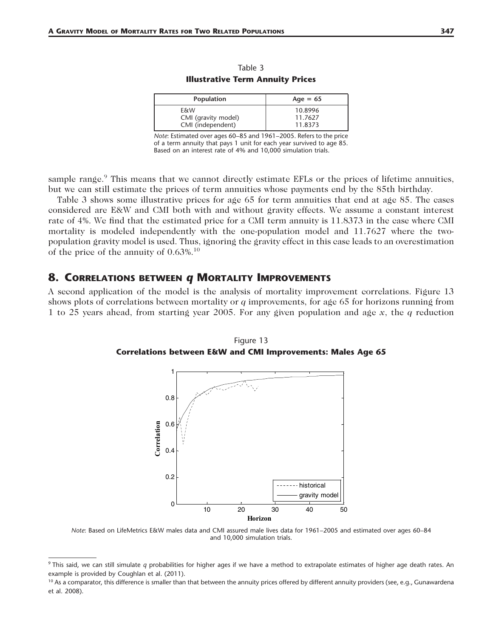|                                         | Table 3 |  |
|-----------------------------------------|---------|--|
| <b>Illustrative Term Annuity Prices</b> |         |  |

| Population          | Age = $65$ |
|---------------------|------------|
| <b>E&amp;W</b>      | 10.8996    |
| CMI (gravity model) | 11.7627    |
| CMI (independent)   | 11.8373    |

*Note*: Estimated over ages 60–85 and 1961–2005. Refers to the price of a term annuity that pays 1 unit for each year survived to age 85. Based on an interest rate of 4% and 10,000 simulation trials.

sample range.<sup>9</sup> This means that we cannot directly estimate EFLs or the prices of lifetime annuities, but we can still estimate the prices of term annuities whose payments end by the 85th birthday.

Table 3 shows some illustrative prices for age 65 for term annuities that end at age 85. The cases considered are E&W and CMI both with and without gravity effects. We assume a constant interest rate of 4%. We find that the estimated price for a CMI term annuity is 11.8373 in the case where CMI mortality is modeled independently with the one-population model and 11.7627 where the twopopulation gravity model is used. Thus, ignoring the gravity effect in this case leads to an overestimation of the price of the annuity of 0.63%.<sup>10</sup>

#### **8. CORRELATIONS BETWEEN** *q* **MORTALITY IMPROVEMENTS**

A second application of the model is the analysis of mortality improvement correlations. Figure 13 shows plots of correlations between mortality or *q* improvements, for age 65 for horizons running from 1 to 25 years ahead, from starting year 2005. For any given population and age *x*, the *q* reduction



Figure 13 **Correlations between E&W and CMI Improvements: Males Age 65**

*Note*: Based on LifeMetrics E&W males data and CMI assured male lives data for 1961–2005 and estimated over ages 60–84 and 10,000 simulation trials.

<sup>9</sup> This said, we can still simulate *q* probabilities for higher ages if we have a method to extrapolate estimates of higher age death rates. An example is provided by Coughlan et al. (2011).

 $10$  As a comparator, this difference is smaller than that between the annuity prices offered by different annuity providers (see, e.g., Gunawardena et al. 2008).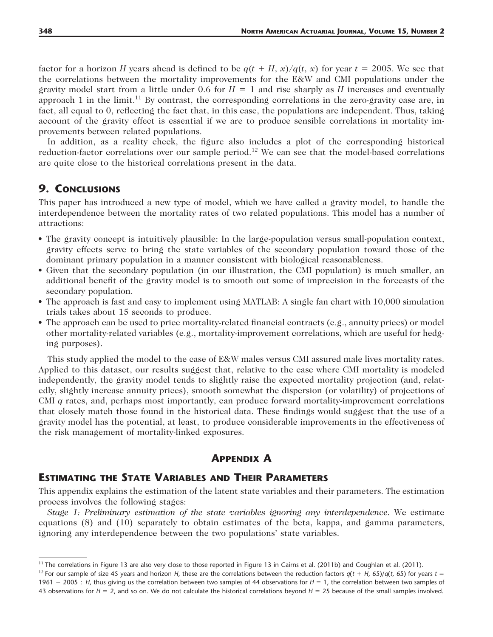factor for a horizon *H* years ahead is defined to be  $q(t + H, x)/q(t, x)$  for year  $t = 2005$ . We see that the correlations between the mortality improvements for the E&W and CMI populations under the gravity model start from a little under 0.6 for  $H = 1$  and rise sharply as *H* increases and eventually approach 1 in the limit.<sup>11</sup> By contrast, the corresponding correlations in the zero-gravity case are, in fact, all equal to 0, reflecting the fact that, in this case, the populations are independent. Thus, taking account of the gravity effect is essential if we are to produce sensible correlations in mortality improvements between related populations.

In addition, as a reality check, the figure also includes a plot of the corresponding historical reduction-factor correlations over our sample period.<sup>12</sup> We can see that the model-based correlations are quite close to the historical correlations present in the data.

#### **9. CONCLUSIONS**

This paper has introduced a new type of model, which we have called a gravity model, to handle the interdependence between the mortality rates of two related populations. This model has a number of attractions:

- The gravity concept is intuitively plausible: In the large-population versus small-population context, gravity effects serve to bring the state variables of the secondary population toward those of the dominant primary population in a manner consistent with biological reasonableness.
- Given that the secondary population (in our illustration, the CMI population) is much smaller, an additional benefit of the gravity model is to smooth out some of imprecision in the forecasts of the secondary population.
- The approach is fast and easy to implement using MATLAB: A single fan chart with 10,000 simulation trials takes about 15 seconds to produce.
- The approach can be used to price mortality-related financial contracts (e.g., annuity prices) or model other mortality-related variables (e.g., mortality-improvement correlations, which are useful for hedging purposes).

This study applied the model to the case of E&W males versus CMI assured male lives mortality rates. Applied to this dataset, our results suggest that, relative to the case where CMI mortality is modeled independently, the gravity model tends to slightly raise the expected mortality projection (and, relatedly, slightly increase annuity prices), smooth somewhat the dispersion (or volatility) of projections of CMI *q* rates, and, perhaps most importantly, can produce forward mortality-improvement correlations that closely match those found in the historical data. These findings would suggest that the use of a gravity model has the potential, at least, to produce considerable improvements in the effectiveness of the risk management of mortality-linked exposures.

#### **APPENDIX A**

#### **ESTIMATING THE STATE VARIABLES AND THEIR PARAMETERS**

This appendix explains the estimation of the latent state variables and their parameters. The estimation process involves the following stages:

*Stage 1: Preliminary estimation of the state variables ignoring any interdependence.* We estimate equations (8) and (10) separately to obtain estimates of the beta, kappa, and gamma parameters, ignoring any interdependence between the two populations' state variables.

<sup>&</sup>lt;sup>11</sup> The correlations in Figure 13 are also very close to those reported in Figure 13 in Cairns et al. (2011b) and Coughlan et al. (2011).

<sup>&</sup>lt;sup>12</sup> For our sample of size 45 years and horizon *H*, these are the correlations between the reduction factors  $q(t + H, 65)/q(t, 65)$  for years  $t =$ 1961 - 2005 : *H*, thus giving us the correlation between two samples of 44 observations for  $H = 1$ , the correlation between two samples of 43 observations for  $H = 2$ , and so on. We do not calculate the historical correlations beyond  $H = 25$  because of the small samples involved.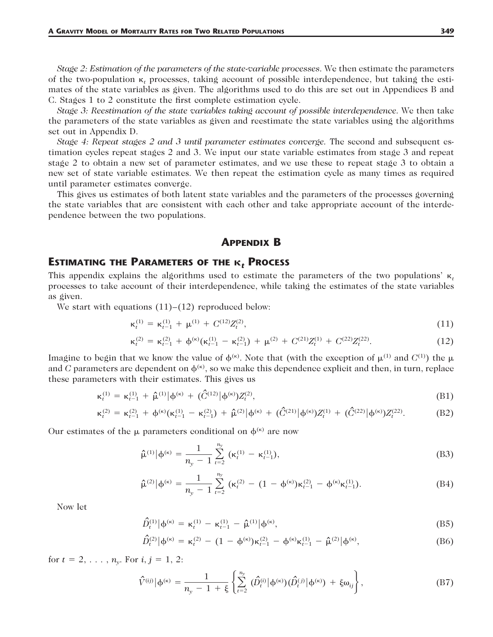*Stage 2: Estimation of the parameters of the state-variable processes.* We then estimate the parameters of the two-population k*<sup>t</sup>* processes, taking account of possible interdependence, but taking the estimates of the state variables as given. The algorithms used to do this are set out in Appendices B and C. Stages 1 to 2 constitute the first complete estimation cycle.

*Stage 3: Reestimation of the state variables taking account of possible interdependence.* We then take the parameters of the state variables as given and reestimate the state variables using the algorithms set out in Appendix D.

*Stage 4: Repeat stages 2 and 3 until parameter estimates converge.* The second and subsequent estimation cycles repeat stages 2 and 3. We input our state variable estimates from stage 3 and repeat stage 2 to obtain a new set of parameter estimates, and we use these to repeat stage 3 to obtain a new set of state variable estimates. We then repeat the estimation cycle as many times as required until parameter estimates converge.

This gives us estimates of both latent state variables and the parameters of the processes governing the state variables that are consistent with each other and take appropriate account of the interdependence between the two populations.

#### **APPENDIX B**

#### **ESTIMATING THE PARAMETERS OF THE** k*<sup>t</sup>* **PROCESS**

This appendix explains the algorithms used to estimate the parameters of the two populations' k*<sup>t</sup>* processes to take account of their interdependence, while taking the estimates of the state variables as given.

We start with equations  $(11)$ – $(12)$  reproduced below:

$$
\kappa_t^{(1)} = \kappa_{t-1}^{(1)} + \mu^{(1)} + C^{(12)} Z_t^{(2)},\tag{11}
$$

$$
\kappa_t^{(2)} = \kappa_{t-1}^{(2)} + \phi^{(\kappa)}(\kappa_{t-1}^{(1)} - \kappa_{t-1}^{(2)}) + \mu^{(2)} + C^{(21)}Z_t^{(1)} + C^{(22)}Z_t^{(22)}.
$$
 (12)

Imagine to begin that we know the value of  $\phi^{(\kappa)}$ . Note that (with the exception of  $\mu^{(1)}$  and  $C^{(1)}$ ) the  $\mu$ and *C* parameters are dependent on  $\phi^{(\kappa)}$ , so we make this dependence explicit and then, in turn, replace these parameters with their estimates. This gives us

$$
\kappa_t^{(1)} = \kappa_{t-1}^{(1)} + \hat{\mu}^{(1)} |\phi^{(\kappa)} + (\hat{C}^{(12)} |\phi^{(\kappa)}) Z_t^{(2)}, \tag{B1}
$$

$$
\kappa_t^{(2)} = \kappa_{t-1}^{(2)} + \phi^{(\kappa)}(\kappa_{t-1}^{(1)} - \kappa_{t-1}^{(2)}) + \hat{\mu}^{(2)}|\phi^{(\kappa)} + (\hat{C}^{(21)}|\phi^{(\kappa)})Z_t^{(1)} + (\hat{C}^{(22)}|\phi^{(\kappa)})Z_t^{(22)}.
$$
 (B2)

Our estimates of the  $\mu$  parameters conditional on  $\phi^{(\kappa)}$  are now

$$
\hat{\mu}^{(1)}|\phi^{(\kappa)} = \frac{1}{n_{y} - 1} \sum_{t=2}^{n_{y}} (\kappa_{t}^{(1)} - \kappa_{t-1}^{(1)}),
$$
\n(B3)

$$
\hat{\mu}^{(2)}|\phi^{(\kappa)} = \frac{1}{n_{y} - 1} \sum_{t=2}^{n_{y}} (\kappa_{t}^{(2)} - (1 - \phi^{(\kappa)})\kappa_{t-1}^{(2)} - \phi^{(\kappa)}\kappa_{t-1}^{(1)}).
$$
\n(B4)

Now let

$$
\hat{D}_{t}^{(1)}|\phi^{(\kappa)} = \kappa_{t}^{(1)} - \kappa_{t-1}^{(1)} - \hat{\mu}^{(1)}|\phi^{(\kappa)}, \tag{B5}
$$

$$
\hat{D}_{t}^{(2)}|\phi^{(\kappa)} = \kappa_{t}^{(2)} - (1 - \phi^{(\kappa)})\kappa_{t-1}^{(2)} - \phi^{(\kappa)}\kappa_{t-1}^{(1)} - \hat{\mu}^{(2)}|\phi^{(\kappa)}, \tag{B6}
$$

for  $t = 2, \ldots, n_y$ . For  $i, j = 1, 2$ :

$$
\hat{V}^{(ij)}|\phi^{(\kappa)} = \frac{1}{n_y - 1 + \xi} \left\{ \sum_{t=2}^{n_y} (\hat{D}_t^{(i)}|\phi^{(\kappa)}) (\hat{D}_t^{(j)}|\phi^{(\kappa)}) + \xi \omega_{ij} \right\},
$$
\n(B7)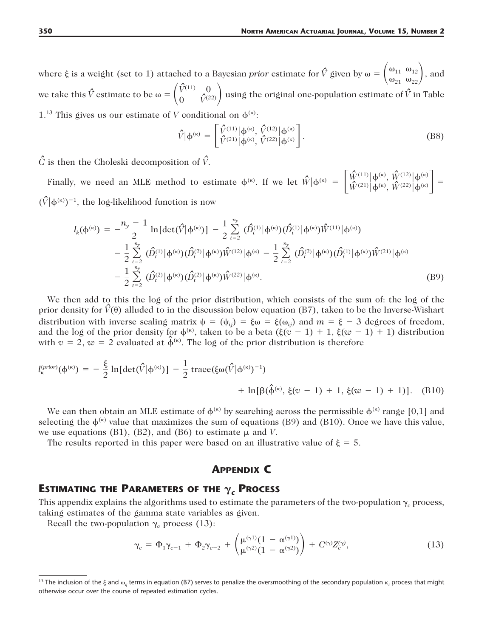where  $\xi$  is a weight (set to 1) attached to a Bayesian *prior* estimate for  $\hat{V}$  given by  $\omega = \begin{pmatrix} \omega_{11} & \omega_{12} \\ \omega_{21} & \omega_{22} \end{pmatrix}$ , and we take this  $\hat{V}$  estimate to be  $\omega = \begin{pmatrix} \hat{V}^{(11)} & 0 \\ 0 & \hat{V}^{(22)} \end{pmatrix}$  using the original one-population estimate of  $\hat{V}$  in Table 1.<sup>13</sup> This gives us our estimate of *V* conditional on  $\phi^{(k)}$ :

$$
\hat{V}|\phi^{(\kappa)} = \begin{bmatrix} \hat{V}^{(11)}|\phi^{(\kappa)}, \hat{V}^{(12)}|\phi^{(\kappa)}\\ \hat{V}^{(21)}|\phi^{(\kappa)}, \hat{V}^{(22)}|\phi^{(\kappa)} \end{bmatrix}.
$$
\n(B8)

 $\hat{C}$  is then the Choleski decomposition of  $\hat{V}$ .

Finally, we need an MLE method to estimate  $\phi^{(\kappa)}$ . If we let  $\hat{W}|\phi^{(\kappa)} = \begin{bmatrix} \hat{W}^{(11)}|\phi^{(\kappa)}, \hat{W}^{(12)}|\phi^{(\kappa)} \hat{W}^{(21)}|\phi^{(\kappa)}, \hat{W}^{(22)}|\phi^{(\kappa)} \end{bmatrix} =$  $(\hat{V}|\phi^{(k)})^{-1}$ , the log-likelihood function is now

$$
l_{k}(\phi^{(\kappa)}) = -\frac{n_{y} - 1}{2} \ln[\det(\hat{V}|\phi^{(\kappa)})] - \frac{1}{2} \sum_{t=2}^{n_{y}} (\hat{D}_{t}^{(1)}|\phi^{(\kappa)}) (\hat{D}_{t}^{(1)}|\phi^{(\kappa)}) \hat{W}^{(11)}|\phi^{(\kappa)}) - \frac{1}{2} \sum_{t=2}^{n_{y}} (\hat{D}_{t}^{(1)}|\phi^{(\kappa)}) (\hat{D}_{t}^{(2)}|\phi^{(\kappa)}) \hat{W}^{(12)}|\phi^{(\kappa)} - \frac{1}{2} \sum_{t=2}^{n_{y}} (\hat{D}_{t}^{(2)}|\phi^{(\kappa)}) (\hat{D}_{t}^{(1)}|\phi^{(\kappa)}) \hat{W}^{(21)}|\phi^{(\kappa)} - \frac{1}{2} \sum_{t=2}^{n_{y}} (\hat{D}_{t}^{(2)}|\phi^{(\kappa)}) (\hat{D}_{t}^{(2)}|\phi^{(\kappa)}) \hat{W}^{(22)}|\phi^{(\kappa)}.
$$
\n(B9)

We then add to this the log of the prior distribution, which consists of the sum of: the log of the prior density for  $\hat{V}(\theta)$  alluded to in the discussion below equation (B7), taken to be the Inverse-Wishart distribution with inverse scaling matrix  $\psi = (\psi_{ij}) = \xi \omega = \xi(\omega_{ij})$  and  $m = \xi - 3$  degrees of freedom, and the log of the prior density for  $\phi^{(\kappa)}$ , taken to be a beta  $(\xi(\nu-1)+1, \xi(\nu-1)+1)$  distribution with  $v = 2$ ,  $w = 2$  evaluated at  $\hat{\phi}^{(\kappa)}$ . The log of the prior distribution is therefore

$$
l_{\kappa}^{(prior)}(\phi^{(\kappa)}) = -\frac{\xi}{2} \ln[\det(\hat{V}|\phi^{(\kappa)})] - \frac{1}{2} \operatorname{trace}(\xi \omega(\hat{V}|\phi^{(\kappa)})^{-1}) + \ln[\beta(\hat{\phi}^{(\kappa)}, \xi(\upsilon - 1) + 1, \xi(\omega - 1) + 1)]. \quad (B10)
$$

We can then obtain an MLE estimate of  $\phi^{(k)}$  by searching across the permissible  $\phi^{(k)}$  range [0,1] and selecting the  $\phi^{(\kappa)}$  value that maximizes the sum of equations (B9) and (B10). Once we have this value, we use equations  $(B1)$ ,  $(B2)$ , and  $(B6)$  to estimate  $\mu$  and *V*.

The results reported in this paper were based on an illustrative value of  $\xi = 5$ .

#### **APPENDIX C**

#### **ESTIMATING THE PARAMETERS OF THE** g*<sup>c</sup>* **PROCESS**

This appendix explains the algorithms used to estimate the parameters of the two-population  $\gamma_c$  process, taking estimates of the gamma state variables as given.

Recall the two-population  $\gamma_c$  process (13):

$$
\gamma_c = \Phi_1 \gamma_{c-1} + \Phi_2 \gamma_{c-2} + \begin{pmatrix} \mu^{(\gamma 1)} (1 - \alpha^{(\gamma 1)}) \\ \mu^{(\gamma 2)} (1 - \alpha^{(\gamma 2)}) \end{pmatrix} + C^{(\gamma)} Z_c^{(\gamma)}, \tag{13}
$$

<sup>&</sup>lt;sup>13</sup> The inclusion of the  $\xi$  and  $\omega_{ii}$  terms in equation (B7) serves to penalize the oversmoothing of the secondary population  $\kappa_i$  process that might otherwise occur over the course of repeated estimation cycles.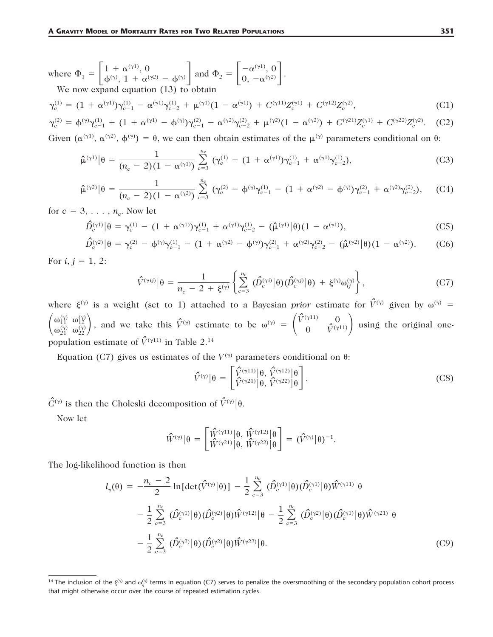where 
$$
\Phi_1 = \begin{bmatrix} 1 + \alpha^{(\gamma 1)}, 0 \\ \phi^{(\gamma)}, 1 + \alpha^{(\gamma 2)} - \phi^{(\gamma)} \end{bmatrix}
$$
 and  $\Phi_2 = \begin{bmatrix} -\alpha^{(\gamma 1)}, 0 \\ 0, -\alpha^{(\gamma 2)} \end{bmatrix}$ .  
We now expand equation (13) to obtain

 $\gamma_c^{(1)} = (1 + \alpha^{(\gamma 1)}) \gamma_{c-1}^{(1)} - \alpha^{(\gamma 1)} \gamma_{c-2}^{(1)} + \mu^{(\gamma 1)} (1 - \alpha^{(\gamma 1)}) + C^{(\gamma 1 1)} Z_c^{(\gamma 1)} + C^{(\gamma 1 2)} Z_c^{(\gamma 2)},$  (C1)

$$
\gamma_c^{(2)} = \phi^{(\gamma)} \gamma_{c-1}^{(1)} + (1 + \alpha^{(\gamma 1)} - \phi^{(\gamma)}) \gamma_{c-1}^{(2)} - \alpha^{(\gamma 2)} \gamma_{c-2}^{(2)} + \mu^{(\gamma 2)} (1 - \alpha^{(\gamma 2)}) + C^{(\gamma 2 1)} Z_c^{(\gamma 1)} + C^{(\gamma 2 2)} Z_c^{(\gamma 2)}.
$$
 (C2)

Given  $(\alpha^{(\gamma_1)}, \alpha^{(\gamma_2)}, \phi^{(\gamma)}) = \theta$ , we can then obtain estimates of the  $\mu^{(\gamma)}$  parameters conditional on  $\theta$ :

$$
\hat{\mu}^{(\gamma 1)}|\theta = \frac{1}{(n_c - 2)(1 - \alpha^{(\gamma 1)})} \sum_{c=3}^{n_c} (\gamma_c^{(1)} - (1 + \alpha^{(\gamma 1)})\gamma_{c-1}^{(1)} + \alpha^{(\gamma 1)}\gamma_{c-2}^{(1)}), \tag{C3}
$$

$$
\hat{\mu}^{(\gamma2)}\big|\theta = \frac{1}{(n_c-2)(1-\alpha^{(\gamma2)})}\sum_{c=3}^{n_c}(\gamma_c^{(2)}-\phi^{(\gamma)}\gamma_{c-1}^{(1)}-(1+\alpha^{(\gamma2)}-\phi^{(\gamma)})\gamma_{c-1}^{(2)}+\alpha^{(\gamma2)}\gamma_{c-2}^{(2)}),\quad (C4)
$$

for  $c = 3, \ldots, n_c$ . Now let

$$
\hat{D}_c^{(\gamma 1)}|\theta = \gamma_c^{(1)} - (1 + \alpha^{(\gamma 1)})\gamma_{c-1}^{(1)} + \alpha^{(\gamma 1)}\gamma_{c-2}^{(1)} - (\hat{\mu}^{(\gamma 1)}|\theta)(1 - \alpha^{(\gamma 1)}),
$$
\n(C5)

$$
\hat{D}_c^{(\gamma 2)}|\theta = \gamma_c^{(2)} - \phi^{(\gamma)}\gamma_{c-1}^{(1)} - (1 + \alpha^{(\gamma 2)} - \phi^{(\gamma)})\gamma_{c-1}^{(2)} + \alpha^{(\gamma 2)}\gamma_{c-2}^{(2)} - (\hat{\mu}^{(\gamma 2)}|\theta)(1 - \alpha^{(\gamma 2)}).
$$
 (C6)

For  $i, j = 1, 2$ :

$$
\hat{V}^{(\gamma i j)} | \theta = \frac{1}{n_c - 2 + \xi^{(\gamma)}} \left\{ \sum_{c=3}^{n_c} (\hat{D}_c^{(\gamma i)} | \theta) (\hat{D}_c^{(\gamma j)} | \theta) + \xi^{(\gamma)} \omega_{ij}^{(\gamma)} \right\},\tag{C7}
$$

where  $\xi^{(\gamma)}$  is a weight (set to 1) attached to a Bayesian *prior* estimate for  $\hat{V}^{(\gamma)}$  given by  $\omega^{(\gamma)}$  =  $\begin{pmatrix} \omega_{11}^{(\gamma)} & \omega_{12}^{(\gamma)} \\ \omega_{21}^{(\gamma)} & \omega_{22}^{(\gamma)} \end{pmatrix}$ , and we take this  $\hat{V}^{(\gamma)}$  estimate to be  $\omega^{(\gamma)} = \begin{pmatrix} \hat{V}^{(\gamma11)} & 0 \\ 0 & \hat{V}^{(\gamma11)} \end{pmatrix}$  using the original onepopulation estimate of  $\hat{V}^{(\gamma 11)}$  in Table 2.<sup>14</sup>

Equation (C7) gives us estimates of the  $V^{(\gamma)}$  parameters conditional on  $\theta$ :

$$
\hat{V}^{(\gamma)}|\theta = \begin{bmatrix} \hat{V}^{(\gamma11)}|\theta, \hat{V}^{(\gamma12)}|\theta \\ \hat{V}^{(\gamma21)}|\theta, \hat{V}^{(\gamma22)}|\theta \end{bmatrix}.
$$
\n(C8)

 $\hat{C}^{(\gamma)}$  is then the Choleski decomposition of  $\hat{V}^{(\gamma)}|\theta$ .

Now let

$$
\hat{W}^{(\gamma)}|\theta = \begin{bmatrix} \hat{W}^{(\gamma11)}|\theta, \hat{W}^{(\gamma12)}|\theta \\ \hat{W}^{(\gamma21)}|\theta, \hat{W}^{(\gamma22)}|\theta \end{bmatrix} = (\hat{V}^{(\gamma)}|\theta)^{-1}.
$$

The log-likelihood function is then

$$
l_{\gamma}(\theta) = -\frac{n_{c} - 2}{2} \ln[\det(\hat{V}^{(\gamma)}|\theta)] - \frac{1}{2} \sum_{c=3}^{n_{c}} (\hat{D}_{c}^{(\gamma 1)}|\theta) (\hat{D}_{c}^{(\gamma 1)}|\theta) \hat{W}^{(\gamma 11)}|\theta - \frac{1}{2} \sum_{c=3}^{n_{c}} (\hat{D}_{c}^{(\gamma 1)}|\theta) (\hat{D}_{c}^{(\gamma 2)}|\theta) \hat{W}^{(\gamma 12)}|\theta - \frac{1}{2} \sum_{c=3}^{n_{c}} (\hat{D}_{c}^{(\gamma 2)}|\theta) (\hat{D}_{c}^{(\gamma 1)}|\theta) \hat{W}^{(\gamma 21)}|\theta - \frac{1}{2} \sum_{c=3}^{n_{c}} (\hat{D}_{c}^{(\gamma 2)}|\theta) (\hat{D}_{c}^{(\gamma 2)}|\theta) \hat{W}^{(\gamma 22)}|\theta.
$$
 (C9)

<sup>&</sup>lt;sup>14</sup> The inclusion of the  $\xi^{(\gamma)}$  and  $\omega_{ij}^{(\gamma)}$  terms in equation (C7) serves to penalize the oversmoothing of the secondary population cohort process that might otherwise occur over the course of repeated estimation cycles.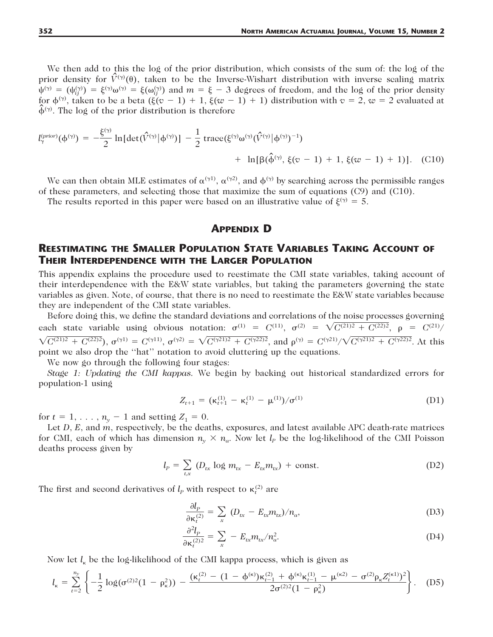We then add to this the log of the prior distribution, which consists of the sum of: the log of the prior density for  $\hat{V}^{(\gamma)}(\theta)$ , taken to be the Inverse-Wishart distribution with inverse scaling matrix  $\psi^{(\gamma)} = (\psi_{ij}^{(\gamma)}) = \xi^{(\gamma)} \omega^{(\gamma)} = \xi(\omega_{ij}^{(\gamma)})$  and  $m = \xi - 3$  degrees of freedom, and the log of the prior density for  $\phi^{(\gamma)}$ , taken to be a beta  $(\xi(\nu-1) + 1, \xi(\nu-1) + 1)$  distribution with  $\nu = 2$ ,  $\omega = 2$  evaluated at  $\hat{\phi}^{(\gamma)}$ . The log of the prior distribution is therefore

$$
l_{\gamma}^{(prior)}(\phi^{(\gamma)}) = -\frac{\xi^{(\gamma)}}{2} \ln[\det(\hat{V}^{(\gamma)}|\phi^{(\gamma)})] - \frac{1}{2} \operatorname{trace}(\xi^{(\gamma)}\omega^{(\gamma)}(\hat{V}^{(\gamma)}|\phi^{(\gamma)})^{-1})
$$
  
+  $\ln[\beta(\hat{\phi}^{(\gamma)}, \xi(\upsilon - 1) + 1, \xi(\upsilon - 1) + 1)].$  (C10)

We can then obtain MLE estimates of  $\alpha^{(\gamma 1)}$ ,  $\alpha^{(\gamma 2)}$ , and  $\phi^{(\gamma)}$  by searching across the permissible ranges of these parameters, and selecting those that maximize the sum of equations (C9) and (C10).

The results reported in this paper were based on an illustrative value of  $\xi^{(\gamma)} = 5$ .

#### **APPENDIX D**

#### **REESTIMATING THE SMALLER POPULATION STATE VARIABLES TAKING ACCOUNT OF THEIR INTERDEPENDENCE WITH THE LARGER POPULATION**

This appendix explains the procedure used to reestimate the CMI state variables, taking account of their interdependence with the E&W state variables, but taking the parameters governing the state variables as given. Note, of course, that there is no need to reestimate the E&W state variables because they are independent of the CMI state variables.

Before doing this, we define the standard deviations and correlations of the noise processes governing each state variable using obvious notation:  $\sigma^{(1)} = C^{(11)}$ ,  $\sigma^{(2)} = \sqrt{C^{(21)2} + C^{(22)2}}$ ,  $\rho = C^{(21)}/C^{(21)2}$  $\sqrt{C^{(21)2} + C^{(22)2}}$ ,  $\sigma^{(\gamma1)} = C^{(\gamma11)}$ ,  $\sigma^{(\gamma2)} = \sqrt{C^{(\gamma21)2} + C^{(\gamma22)2}}$ , and  $\rho^{(\gamma)} = C^{(\gamma21)}/\sqrt{C^{(\gamma21)2} + C^{(\gamma22)2}}$ . At this point we also drop the ''hat'' notation to avoid cluttering up the equations.

We now go through the following four stages:

*Stage 1: Updating the CMI kappas.* We begin by backing out historical standardized errors for population-1 using

$$
Z_{t+1} = (\kappa_{t+1}^{(1)} - \kappa_t^{(1)} - \mu^{(1)})/\sigma^{(1)}
$$
(D1)

for  $t = 1, \ldots, n_v - 1$  and setting  $Z_1 = 0$ .

Let *D*, *E*, and *m*, respectively, be the deaths, exposures, and latest available APC death-rate matrices for CMI, each of which has dimension  $n_y \times n_a$ . Now let  $l_p$  be the log-likelihood of the CMI Poisson deaths process given by

$$
l_p = \sum_{t,x} (D_{tx} \log m_{tx} - E_{tx} m_{tx}) + \text{const.}
$$
 (D2)

The first and second derivatives of  $l_p$  with respect to  $\kappa_t^{(2)}$  are

$$
\frac{\partial l_P}{\partial \kappa_t^{(2)}} = \sum_x (D_{tx} - E_{tx} m_{tx}) / n_a,
$$
\n(D3)

$$
\frac{\partial^2 l_p}{\partial \kappa_t^{(2)2}} = \sum_x - E_{tx} m_{tx} / n_a^2. \tag{D4}
$$

Now let  $l_k$  be the log-likelihood of the CMI kappa process, which is given as

$$
l_{\kappa} = \sum_{t=2}^{n_{y}} \left\{ -\frac{1}{2} \log(\sigma^{(2)2} (1 - \rho_{\kappa}^{2})) - \frac{(\kappa_{t}^{(2)} - (1 - \phi^{(\kappa)}) \kappa_{t-1}^{(2)} + \phi^{(\kappa)} \kappa_{t-1}^{(1)} - \mu^{(\kappa 2)} - \sigma^{(2)} \rho_{\kappa} Z_{t}^{(\kappa 1)})^{2}}{2 \sigma^{(2)2} (1 - \rho_{\kappa}^{2})} \right\}.
$$
 (D5)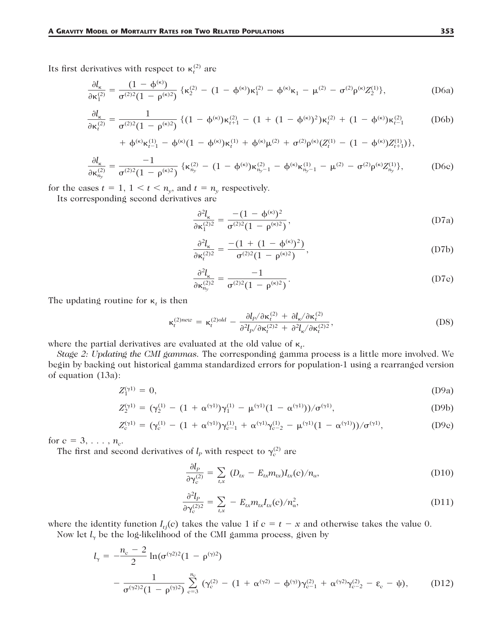Its first derivatives with respect to  $\kappa_t^{(2)}$  are

$$
\frac{\partial l_{\kappa}}{\partial \kappa_1^{(2)}} = \frac{(1 - \phi^{(\kappa)})}{\sigma^{(2)2}(1 - \rho^{(\kappa)2})} \left\{ \kappa_2^{(2)} - (1 - \phi^{(\kappa)}) \kappa_1^{(2)} - \phi^{(\kappa)} \kappa_1 - \mu^{(2)} - \sigma^{(2)} \rho^{(\kappa)} Z_2^{(1)} \right\},\tag{D6a}
$$

$$
\frac{\partial l_{\kappa}}{\partial \kappa_{t}^{(2)}} = \frac{1}{\sigma^{(2)2}(1 - \rho^{(\kappa)2})} \left\{ (1 - \phi^{(\kappa)}) \kappa_{t+1}^{(2)} - (1 + (1 - \phi^{(\kappa)})^2) \kappa_{t}^{(2)} + (1 - \phi^{(\kappa)}) \kappa_{t-1}^{(2)} \right\}
$$
(D6b)

$$
+\phi^{(\kappa)}\kappa_{t-1}^{(1)}-\phi^{(\kappa)}(1-\phi^{(\kappa)})\kappa_t^{(1)}+\phi^{(\kappa)}\mu^{(2)}+\sigma^{(2)}\rho^{(\kappa)}(Z_t^{(1)}-(1-\phi^{(\kappa)})Z_{t+1}^{(1)})\},\
$$

$$
\frac{\partial l_{\kappa}}{\partial \kappa_{n_y}^{(2)}} = \frac{-1}{\sigma^{(2)2}(1-\rho^{(\kappa)2})}\left\{\kappa_{n_y}^{(2)} - (1-\varphi^{(\kappa)})\kappa_{n_y-1}^{(2)} - \varphi^{(\kappa)}\kappa_{n_y-1}^{(1)} - \mu^{(2)} - \sigma^{(2)}\rho^{(\kappa)}Z_{n_y}^{(1)}\right\},\tag{D6c}
$$

for the cases  $t = 1, 1 \le t \le n_y$ , and  $t = n_y$  respectively.

Its corresponding second derivatives are

$$
\frac{\partial^2 l_{\kappa}}{\partial \kappa_1^{(2)2}} = \frac{-(1 - \phi^{(\kappa)})^2}{\sigma^{(2)2}(1 - \rho^{(\kappa)2})},
$$
(D7a)

$$
\frac{\partial^2 l_{\kappa}}{\partial \kappa_{\iota}^{(2)2}} = \frac{- (1 + (1 - \phi^{(\kappa)})^2)}{\sigma^{(2)2} (1 - \rho^{(\kappa)2})},
$$
(D7b)

$$
\frac{\partial^2 l_{\kappa}}{\partial \kappa_{n_{\nu}}^{(2)2}} = \frac{-1}{\sigma^{(2)2} (1 - \rho^{(\kappa)2})}.
$$
\n(D7c)

The updating routine for  $\kappa_t$  is then

$$
\kappa_t^{(2)new} = \kappa_t^{(2)old} - \frac{\partial l_p/\partial \kappa_t^{(2)} + \partial l_\kappa/\partial \kappa_t^{(2)}}{\partial^2 l_p/\partial \kappa_t^{(2)2} + \partial^2 l_\kappa/\partial \kappa_t^{(2)2}},
$$
(D8)

where the partial derivatives are evaluated at the old value of  $\kappa_t$ .

*Stage 2: Updating the CMI gammas.* The corresponding gamma process is a little more involved. We begin by backing out historical gamma standardized errors for population-1 using a rearranged version of equation (13a):

$$
Z_1^{(\gamma 1)} = 0,\tag{D9a}
$$

$$
Z_2^{(\gamma 1)} = (\gamma_2^{(1)} - (1 + \alpha^{(\gamma 1)})\gamma_1^{(1)} - \mu^{(\gamma 1)}(1 - \alpha^{(\gamma 1)}))/\sigma^{(\gamma 1)},
$$
 (D9b)

$$
Z_c^{(\gamma 1)} = (\gamma_c^{(1)} - (1 + \alpha^{(\gamma 1)})\gamma_{c-1}^{(1)} + \alpha^{(\gamma 1)}\gamma_{c-2}^{(1)} - \mu^{(\gamma 1)}(1 - \alpha^{(\gamma 1)}))/\sigma^{(\gamma 1)},
$$
(D9c)

for  $c = 3, \ldots, n_c$ .

The first and second derivatives of  $l_p$  with respect to  $\gamma_c^{(2)}$  are

$$
\frac{\partial l_p}{\partial \gamma_c^{(2)}} = \sum_{t,x} (D_{tx} - E_{tx} m_{tx}) I_{tx}(c) / n_a,
$$
\n(D10)

$$
\frac{\partial^2 l_p}{\partial \gamma_c^{(2)2}} = \sum_{t,x} - E_{tx} m_{tx} I_{tx}(c) / n_\alpha^2, \tag{D11}
$$

where the identity function  $I_{tj}(c)$  takes the value 1 if  $c = t - x$  and otherwise takes the value 0.

Now let  $l_{\gamma}$  be the log-likelihood of the CMI gamma process, given by

$$
l_{\gamma} = -\frac{n_c - 2}{2} \ln(\sigma^{(\gamma 2)2} (1 - \rho^{(\gamma)2})
$$
  
 
$$
-\frac{1}{\sigma^{(\gamma 2)2} (1 - \rho^{(\gamma)2})} \sum_{c=3}^{n_c} (\gamma_c^{(2)} - (1 + \alpha^{(\gamma 2)} - \phi^{(\gamma)}) \gamma_{c-1}^{(2)} + \alpha^{(\gamma 2)} \gamma_{c-2}^{(2)} - \varepsilon_c - \psi), \qquad (D12)
$$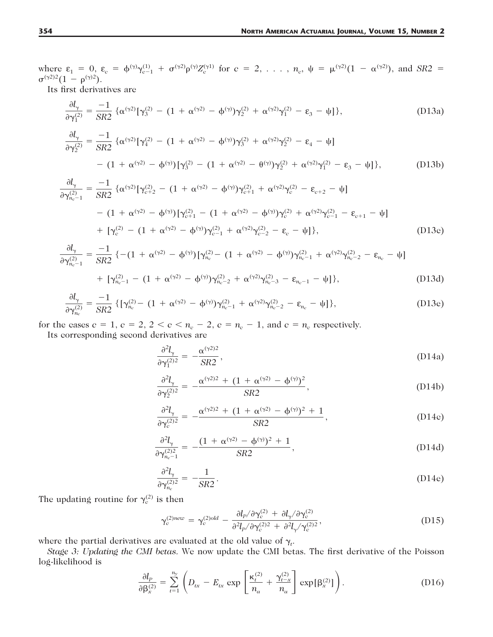where  $\varepsilon_1 = 0$ ,  $\varepsilon_c = \phi^{(\gamma)} \gamma_{c-1}^{(1)} + \sigma^{(\gamma 2)} \rho^{(\gamma)} Z_c^{(\gamma 1)}$  for  $c = 2, \ldots, n_c, \psi = \mu^{(\gamma 2)} (1 - \alpha^{(\gamma 2)})$ , and *SR2* =  $\sigma^{(\gamma2)2}(1-\rho^{(\gamma)2}).$ 

Its first derivatives are

$$
\frac{\partial l_{\gamma}}{\partial \gamma_{1}^{(2)}} = \frac{-1}{SR2} \left\{ \alpha^{(\gamma 2)} [\gamma_{3}^{(2)} - (1 + \alpha^{(\gamma 2)} - \phi^{(\gamma)}) \gamma_{2}^{(2)} + \alpha^{(\gamma 2)} \gamma_{1}^{(2)} - \varepsilon_{3} - \psi] \right\},\tag{D13a}
$$
\n
$$
\frac{\partial l_{\gamma}}{\partial \gamma_{2}^{(2)}} = \frac{-1}{SR2} \left\{ \alpha^{(\gamma 2)} [\gamma_{4}^{(2)} - (1 + \alpha^{(\gamma 2)} - \phi^{(\gamma)}) \gamma_{3}^{(2)} + \alpha^{(\gamma 2)} \gamma_{2}^{(2)} - \varepsilon_{4} - \psi] \right\}
$$
\n
$$
- (1 + \alpha^{(\gamma 2)} - \phi^{(\gamma)}) [\gamma_{3}^{(2)} - (1 + \alpha^{(\gamma 2)} - \theta^{(\gamma)}) \gamma_{2}^{(2)} + \alpha^{(\gamma 2)} \gamma_{1}^{(2)} - \varepsilon_{3} - \psi] \right\},\tag{D13b}
$$

$$
\frac{\partial l_{\gamma}}{\partial \gamma_{n_{c}-1}^{(2)}} = \frac{-1}{SR2} \left\{ \alpha^{(\gamma 2)} [\gamma_{c+2}^{(2)} - (1 + \alpha^{(\gamma 2)} - \phi^{(\gamma)}) \gamma_{c+1}^{(2)} + \alpha^{(\gamma 2)} \gamma_{c}^{(2)} - \varepsilon_{c+2} - \psi] \right.- (1 + \alpha^{(\gamma 2)} - \phi^{(\gamma)}) [\gamma_{c+1}^{(2)} - (1 + \alpha^{(\gamma 2)} - \phi^{(\gamma)}) \gamma_{c}^{(2)} + \alpha^{(\gamma 2)} \gamma_{c-1}^{(2)} - \varepsilon_{c+1} - \psi] + [\gamma_{c}^{(2)} - (1 + \alpha^{(\gamma 2)} - \phi^{(\gamma)}) \gamma_{c-1}^{(2)} + \alpha^{(\gamma 2)} \gamma_{c-2}^{(2)} - \varepsilon_{c} - \psi] \right\},
$$
(D13c)

$$
\frac{\partial l_{\gamma}}{\partial \gamma_{n_{c}-1}^{(2)}} = \frac{-1}{SR2} \left\{ -(1 + \alpha^{(\gamma 2)} - \phi^{(\gamma)}) \left[ \gamma_{n_{c}}^{(2)} - (1 + \alpha^{(\gamma 2)} - \phi^{(\gamma)}) \gamma_{n_{c}-1}^{(2)} + \alpha^{(\gamma 2)} \gamma_{n_{c}-2}^{(2)} - \epsilon_{n_{c}} - \psi \right] \right. \\
\left. + \left[ \gamma_{n_{c}-1}^{(2)} - (1 + \alpha^{(\gamma 2)} - \phi^{(\gamma)}) \gamma_{n_{c}-2}^{(2)} + \alpha^{(\gamma 2)} \gamma_{n_{c}-3}^{(2)} - \epsilon_{n_{c}-1} - \psi \right] \right\}, \tag{D13d}
$$

$$
\frac{\partial l_{\gamma}}{\partial \gamma_{n_{c}}^{(2)}} = \frac{-1}{SR2} \left\{ \left[ \gamma_{n_{c}}^{(2)} - (1 + \alpha^{(\gamma 2)} - \phi^{(\gamma)}) \gamma_{n_{c}-1}^{(2)} + \alpha^{(\gamma 2)} \gamma_{n_{c}-2}^{(2)} - \varepsilon_{n_{c}} - \psi \right] \right\},\tag{D13e}
$$

for the cases  $c = 1$ ,  $c = 2$ ,  $2 < c < n_c - 2$ ,  $c = n_c - 1$ , and  $c = n_c$  respectively.

Its corresponding second derivatives are

$$
\frac{\partial^2 l_{\gamma}}{\partial \gamma_1^{(2)2}} = -\frac{\alpha^{(\gamma 2)2}}{SR2},\tag{D14a}
$$

$$
\frac{\partial^2 l_{\gamma}}{\partial \gamma_2^{(2)2}} = -\frac{\alpha^{(\gamma 2)2} + (1 + \alpha^{(\gamma 2)} - \phi^{(\gamma)})^2}{SR2},
$$
\n(D14b)

$$
\frac{\partial^2 l_{\gamma}}{\partial \gamma_c^{(2)2}} = -\frac{\alpha^{(\gamma 2)2} + (1 + \alpha^{(\gamma 2)} - \phi^{(\gamma)})^2 + 1}{SR2},
$$
\n(D14c)

$$
\frac{\partial^2 l_{\gamma}}{\partial \gamma_{n_c-1}^{(2)2}} = -\frac{(1 + \alpha^{(\gamma 2)} - \phi^{(\gamma)})^2 + 1}{SR2},
$$
\n(D14d)

$$
\frac{\partial^2 l_{\gamma}}{\partial \gamma_{n_c}^{(2)2}} = -\frac{1}{SR2}.
$$
 (D14e)

The updating routine for  $\gamma_c^{(2)}$  is then

$$
\gamma_c^{(2)new} = \gamma_c^{(2)old} - \frac{\partial l_p/\partial \gamma_c^{(2)} + \partial l_\gamma/\partial \gamma_c^{(2)}}{\partial^2 l_p/\partial \gamma_c^{(2)2} + \partial^2 l_\gamma/\gamma_c^{(2)2}},\tag{D15}
$$

where the partial derivatives are evaluated at the old value of  $\gamma_t$ .

*Stage 3: Updating the CMI betas.* We now update the CMI betas. The first derivative of the Poisson log-likelihood is

$$
\frac{\partial l_p}{\partial \beta_x^{(2)}} = \sum_{t=1}^{n_y} \left( D_{tx} - E_{tx} \exp\left[\frac{\kappa_t^{(2)}}{n_a} + \frac{\gamma_{t-x}^{(2)}}{n_a}\right] \exp[\beta_x^{(2)}]\right). \tag{D16}
$$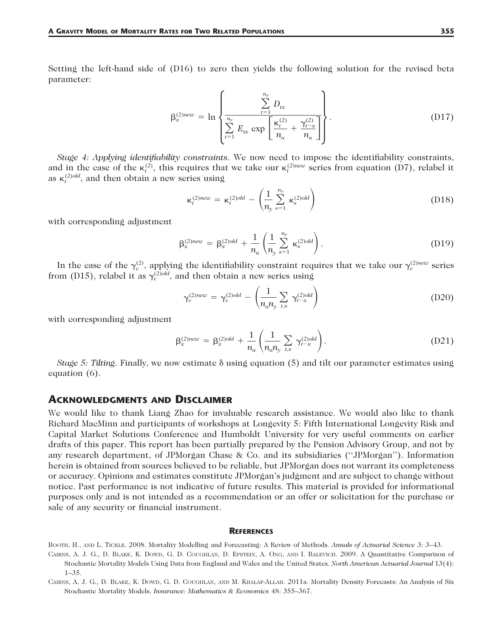Setting the left-hand side of (D16) to zero then yields the following solution for the revised beta parameter:

$$
\beta_{x}^{(2)new} = \ln \left\{ \frac{\sum_{t=1}^{n_{y}} D_{tx}}{\sum_{t=1}^{n_{y}} E_{tx} \exp \left[ \frac{\kappa_{t}^{(2)}}{n_{a}} + \frac{\gamma_{t-x}^{(2)}}{n_{a}} \right]} \right\}.
$$
\n(D17)

*Stage 4: Applying identifiability constraints.* We now need to impose the identifiability constraints, and in the case of the  $\kappa_t^{(2)}$ , this requires that we take our  $\kappa_t^{(2) new}$  series from equation (D7), relabel it as  $\kappa_t^{(2)old}$ , and then obtain a new series using

$$
\kappa_t^{(2)new} = \kappa_t^{(2)old} - \left(\frac{1}{n_y} \sum_{s=1}^{n_y} \kappa_s^{(2)old}\right)
$$
 (D18)

with corresponding adjustment

$$
\beta_{x}^{(2)new} = \beta_{x}^{(2)old} + \frac{1}{n_a} \left( \frac{1}{n_y} \sum_{s=1}^{n_y} \kappa_{s}^{(2)old} \right).
$$
 (D19)

In the case of the  $\gamma_c^{(2)}$ , applying the identifiability constraint requires that we take our  $\gamma_c^{(2) new}$  series from (D15), relabel it as  $\gamma_c^{(2) \text{old}}$ , and then obtain a new series using

$$
\gamma_c^{(2)new} = \gamma_c^{(2)old} - \left(\frac{1}{n_a n_y} \sum_{t,x} \gamma_{t-x}^{(2)old}\right)
$$
 (D20)

with corresponding adjustment

$$
\beta_{\alpha}^{(2)new} = \beta_{\alpha}^{(2)old} + \frac{1}{n_a} \left( \frac{1}{n_a n_y} \sum_{t,x} \gamma_{t-x}^{(2)old} \right). \tag{D21}
$$

*Stage 5: Tilting.* Finally, we now estimate  $\delta$  using equation (5) and tilt our parameter estimates using equation (6).

#### **ACKNOWLEDGMENTS AND DISCLAIMER**

We would like to thank Liang Zhao for invaluable research assistance. We would also like to thank Richard MacMinn and participants of workshops at Longevity 5: Fifth International Longevity Risk and Capital Market Solutions Conference and Humboldt University for very useful comments on earlier drafts of this paper. This report has been partially prepared by the Pension Advisory Group, and not by any research department, of JPMorgan Chase & Co. and its subsidiaries (''JPMorgan''). Information herein is obtained from sources believed to be reliable, but JPMorgan does not warrant its completeness or accuracy. Opinions and estimates constitute JPMorgan's judgment and are subject to change without notice. Past performance is not indicative of future results. This material is provided for informational purposes only and is not intended as a recommendation or an offer or solicitation for the purchase or sale of any security or financial instrument.

#### **REFERENCES**

BOOTH, H., AND L. TICKLE. 2008. Mortality Modelling and Forecasting: A Review of Methods. *Annals of Actuarial Science* 3: 3–43.

CAIRNS, A. J. G., D. BLAKE, K. DOWD, G. D. COUGHLAN, D. EPSTEIN, A. ONG, AND I. BALEVICH. 2009. A Quantitative Comparison of Stochastic Mortality Models Using Data from England and Wales and the United States. *North American Actuarial Journal* 13(4): 1–35.

CAIRNS, A. J. G., D. BLAKE, K. DOWD, G. D. COUGHLAN, AND M. KHALAF-ALLAH. 2011a. Mortality Density Forecasts: An Analysis of Six Stochastic Mortality Models. *Insurance: Mathematics & Economics* 48: 355–367.